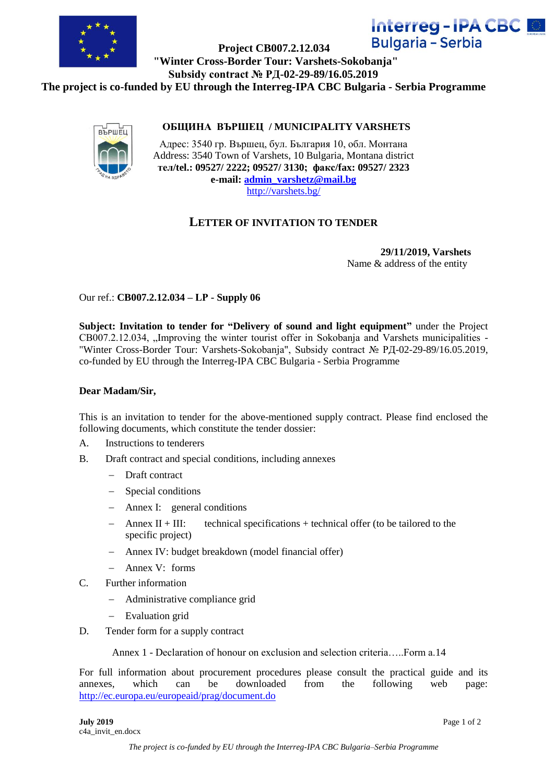

# **Interreg-IPA CBC M Bulgaria - Serbia**

 **Project CB007.2.12.034 "Winter Cross-Border Tour: Varshets-Sokobanja" Subsidy contract № РД-02-29-89/16.05.2019**

**The project is co-funded by EU through the Interreg-IPA CBC Bulgaria - Serbia Programme** 



## **ОБЩИНА ВЪРШЕЦ / MUNICIPALITY VARSHETS**

Адрес: 3540 гр. Вършец, бул. България 10, обл. Монтана Address: 3540 Town of Varshets, 10 Bulgaria, Montana district **тел/tel.: 09527/ 2222; 09527/ 3130; факс/fax: 09527/ 2323 e-mail: [admin\\_varshetz@mail.bg](mailto:admin_varshetz@mail.bg)** <http://varshets.bg/>

## **LETTER OF INVITATION TO TENDER**

**29/11/2019, Varshets** Name & address of the entity

Our ref.: **CB007.2.12.034 – LР - Supply 06**

**Subject: Invitation to tender for "Delivery of sound and light equipment"** under the Project CB007.2.12.034, "Improving the winter tourist offer in Sokobanja and Varshets municipalities -"Winter Cross-Border Tour: Varshets-Sokobanja", Subsidy contract № РД-02-29-89/16.05.2019, co-funded by EU through the Interreg-IPA CBC Bulgaria - Serbia Programme

#### **Dear Madam/Sir,**

This is an invitation to tender for the above-mentioned supply contract. Please find enclosed the following documents, which constitute the tender dossier:

- A. Instructions to tenderers
- B. Draft contract and special conditions, including annexes
	- Draft contract
	- Special conditions
	- Annex I: general conditions
	- $-$  Annex II + III: technical specifications + technical offer (to be tailored to the specific project)
	- Annex IV: budget breakdown (model financial offer)
	- $-$  Annex V: forms
- C. Further information
	- Administrative compliance grid
	- Evaluation grid
- D. Tender form for a supply contract

Annex 1 - Declaration of honour on exclusion and selection criteria — Form a 14

For full information about procurement procedures please consult the practical guide and its annexes, which can be downloaded from the following web page: <http://ec.europa.eu/europeaid/prag/document.do>

**July 2019** Page 1 of 2 c4a\_invit\_en.docx